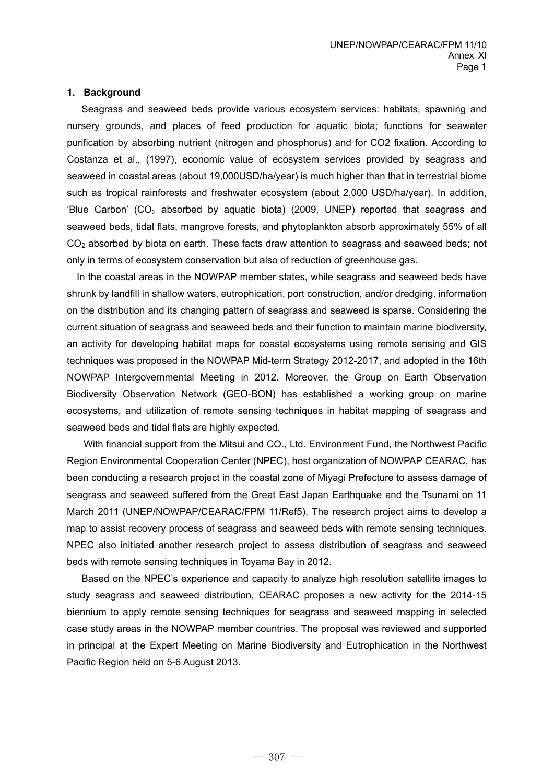### **1. Background**

Seagrass and seaweed beds provide various ecosystem services: habitats, spawning and nursery grounds, and places of feed production for aquatic biota; functions for seawater purification by absorbing nutrient (nitrogen and phosphorus) and for CO2 fixation. According to Costanza et al., (1997), economic value of ecosystem services provided by seagrass and seaweed in coastal areas (about 19,000USD/ha/year) is much higher than that in terrestrial biome such as tropical rainforests and freshwater ecosystem (about 2,000 USD/ha/year). In addition, 'Blue Carbon' (CO<sub>2</sub> absorbed by aquatic biota) (2009, UNEP) reported that seagrass and seaweed beds, tidal flats, mangrove forests, and phytoplankton absorb approximately 55% of all CO<sub>2</sub> absorbed by biota on earth. These facts draw attention to seagrass and seaweed beds; not only in terms of ecosystem conservation but also of reduction of greenhouse gas.

In the coastal areas in the NOWPAP member states, while seagrass and seaweed beds have shrunk by landfill in shallow waters, eutrophication, port construction, and/or dredging, information on the distribution and its changing pattern of seagrass and seaweed is sparse. Considering the current situation of seagrass and seaweed beds and their function to maintain marine biodiversity, an activity for developing habitat maps for coastal ecosystems using remote sensing and GIS techniques was proposed in the NOWPAP Mid-term Strategy 2012-2017, and adopted in the 16th NOWPAP Intergovernmental Meeting in 2012. Moreover, the Group on Earth Observation Biodiversity Observation Network (GEO-BON) has established a working group on marine ecosystems, and utilization of remote sensing techniques in habitat mapping of seagrass and seaweed beds and tidal flats are highly expected.

With financial support from the Mitsui and CO., Ltd. Environment Fund, the Northwest Pacific Region Environmental Cooperation Center (NPEC), host organization of NOWPAP CEARAC, has been conducting a research project in the coastal zone of Miyagi Prefecture to assess damage of seagrass and seaweed suffered from the Great East Japan Earthquake and the Tsunami on 11 March 2011 (UNEP/NOWPAP/CEARAC/FPM 11/Ref5). The research project aims to develop a map to assist recovery process of seagrass and seaweed beds with remote sensing techniques. NPEC also initiated another research project to assess distribution of seagrass and seaweed beds with remote sensing techniques in Toyama Bay in 2012.

Based on the NPEC's experience and capacity to analyze high resolution satellite images to study seagrass and seaweed distribution, CEARAC proposes a new activity for the 2014-15 biennium to apply remote sensing techniques for seagrass and seaweed mapping in selected case study areas in the NOWPAP member countries. The proposal was reviewed and supported in principal at the Expert Meeting on Marine Biodiversity and Eutrophication in the Northwest Pacific Region held on 5-6 August 2013.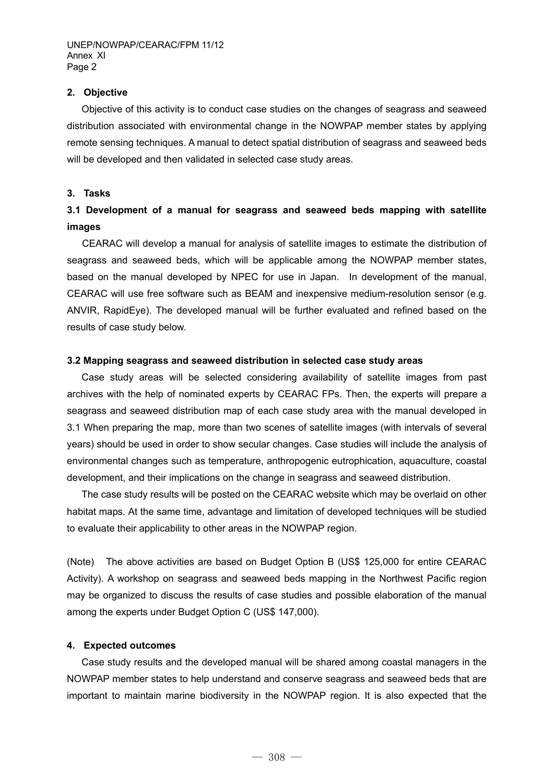## **2. Objective**

Objective of this activity is to conduct case studies on the changes of seagrass and seaweed distribution associated with environmental change in the NOWPAP member states by applying remote sensing techniques. A manual to detect spatial distribution of seagrass and seaweed beds will be developed and then validated in selected case study areas.

### **3. Tasks**

# **3.1 Development of a manual for seagrass and seaweed beds mapping with satellite images**

 CEARAC will develop a manual for analysis of satellite images to estimate the distribution of seagrass and seaweed beds, which will be applicable among the NOWPAP member states, based on the manual developed by NPEC for use in Japan. In development of the manual, CEARAC will use free software such as BEAM and inexpensive medium-resolution sensor (e.g. ANVIR, RapidEye). The developed manual will be further evaluated and refined based on the results of case study below.

#### **3.2 Mapping seagrass and seaweed distribution in selected case study areas**

Case study areas will be selected considering availability of satellite images from past archives with the help of nominated experts by CEARAC FPs. Then, the experts will prepare a seagrass and seaweed distribution map of each case study area with the manual developed in 3.1 When preparing the map, more than two scenes of satellite images (with intervals of several years) should be used in order to show secular changes. Case studies will include the analysis of environmental changes such as temperature, anthropogenic eutrophication, aquaculture, coastal development, and their implications on the change in seagrass and seaweed distribution.

The case study results will be posted on the CEARAC website which may be overlaid on other habitat maps. At the same time, advantage and limitation of developed techniques will be studied to evaluate their applicability to other areas in the NOWPAP region.

(Note) The above activities are based on Budget Option B (US\$ 125,000 for entire CEARAC Activity). A workshop on seagrass and seaweed beds mapping in the Northwest Pacific region may be organized to discuss the results of case studies and possible elaboration of the manual among the experts under Budget Option C (US\$ 147,000).

#### **4. Expected outcomes**

Case study results and the developed manual will be shared among coastal managers in the NOWPAP member states to help understand and conserve seagrass and seaweed beds that are important to maintain marine biodiversity in the NOWPAP region. It is also expected that the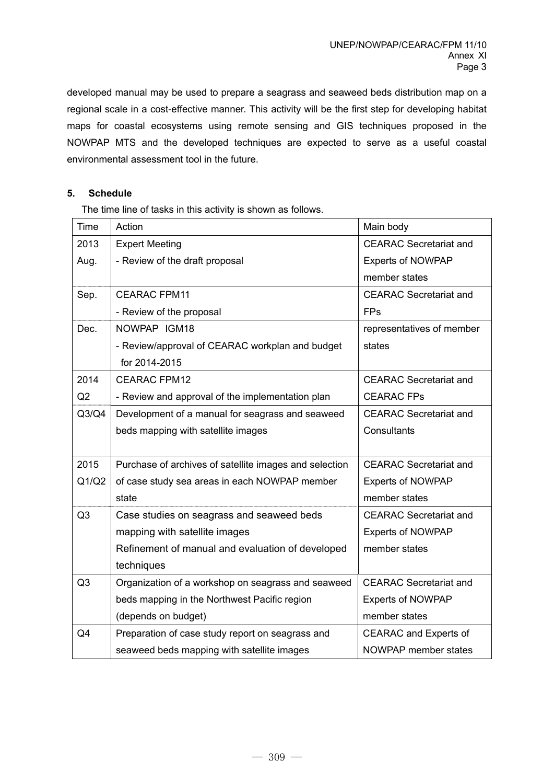developed manual may be used to prepare a seagrass and seaweed beds distribution map on a regional scale in a cost-effective manner. This activity will be the first step for developing habitat maps for coastal ecosystems using remote sensing and GIS techniques proposed in the NOWPAP MTS and the developed techniques are expected to serve as a useful coastal environmental assessment tool in the future.

# **5. Schedule**

The time line of tasks in this activity is shown as follows.

| <b>Time</b>    | Action                                                 | Main body                     |  |
|----------------|--------------------------------------------------------|-------------------------------|--|
| 2013           | <b>Expert Meeting</b>                                  | <b>CEARAC Secretariat and</b> |  |
| Aug.           | - Review of the draft proposal                         | <b>Experts of NOWPAP</b>      |  |
|                |                                                        | member states                 |  |
| Sep.           | <b>CEARAC FPM11</b>                                    | <b>CEARAC</b> Secretariat and |  |
|                | - Review of the proposal                               | <b>FPs</b>                    |  |
| Dec.           | NOWPAP IGM18                                           | representatives of member     |  |
|                | - Review/approval of CEARAC workplan and budget        | states                        |  |
|                | for 2014-2015                                          |                               |  |
| 2014           | <b>CEARAC FPM12</b>                                    | <b>CEARAC</b> Secretariat and |  |
| Q2             | - Review and approval of the implementation plan       | <b>CEARAC FPs</b>             |  |
| Q3/Q4          | Development of a manual for seagrass and seaweed       | <b>CEARAC Secretariat and</b> |  |
|                | beds mapping with satellite images                     | Consultants                   |  |
|                |                                                        |                               |  |
| 2015           | Purchase of archives of satellite images and selection | <b>CEARAC</b> Secretariat and |  |
| Q1/Q2          | of case study sea areas in each NOWPAP member          | <b>Experts of NOWPAP</b>      |  |
|                | state                                                  | member states                 |  |
| Q <sub>3</sub> | Case studies on seagrass and seaweed beds              | <b>CEARAC Secretariat and</b> |  |
|                | mapping with satellite images                          | <b>Experts of NOWPAP</b>      |  |
|                | Refinement of manual and evaluation of developed       | member states                 |  |
|                | techniques                                             |                               |  |
| Q3             | Organization of a workshop on seagrass and seaweed     | <b>CEARAC Secretariat and</b> |  |
|                | beds mapping in the Northwest Pacific region           | <b>Experts of NOWPAP</b>      |  |
|                | (depends on budget)                                    | member states                 |  |
| Q4             | Preparation of case study report on seagrass and       | <b>CEARAC and Experts of</b>  |  |
|                | seaweed beds mapping with satellite images             | NOWPAP member states          |  |